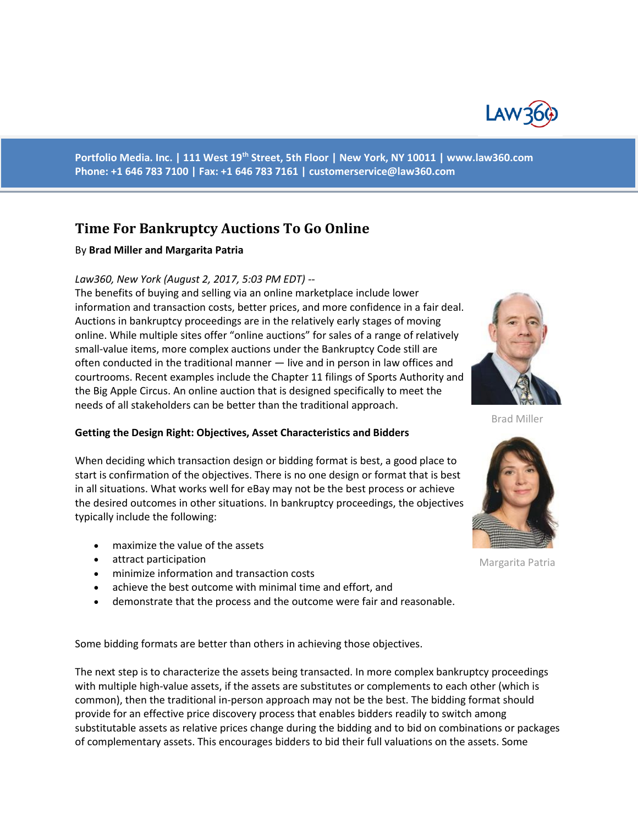

**Portfolio Media. Inc. | 111 West 19th Street, 5th Floor | New York, NY 10011 | www.law360.com Phone: +1 646 783 7100 | Fax: +1 646 783 7161 | [customerservice@law360.com](mailto:customerservice@law360.com)**

# **Time For Bankruptcy Auctions To Go Online**

#### By **Brad Miller and Margarita Patria**

#### *Law360, New York (August 2, 2017, 5:03 PM EDT) --*

The benefits of buying and selling via an online marketplace include lower information and transaction costs, better prices, and more confidence in a fair deal. Auctions in bankruptcy proceedings are in the relatively early stages of moving online. While multiple sites offer "online auctions" for sales of a range of relatively small-value items, more complex auctions under the Bankruptcy Code still are often conducted in the traditional manner — live and in person in law offices and courtrooms. Recent examples include the Chapter 11 filings of Sports Authority and the Big Apple Circus. An online auction that is designed specifically to meet the needs of all stakeholders can be better than the traditional approach.

#### **Getting the Design Right: Objectives, Asset Characteristics and Bidders**

When deciding which transaction design or bidding format is best, a good place to start is confirmation of the objectives. There is no one design or format that is best in all situations. What works well for eBay may not be the best process or achieve the desired outcomes in other situations. In bankruptcy proceedings, the objectives typically include the following:

- maximize the value of the assets
- attract participation
- minimize information and transaction costs
- achieve the best outcome with minimal time and effort, and
- demonstrate that the process and the outcome were fair and reasonable.

Some bidding formats are better than others in achieving those objectives.

The next step is to characterize the assets being transacted. In more complex bankruptcy proceedings with multiple high-value assets, if the assets are substitutes or complements to each other (which is common), then the traditional in-person approach may not be the best. The bidding format should provide for an effective price discovery process that enables bidders readily to switch among substitutable assets as relative prices change during the bidding and to bid on combinations or packages of complementary assets. This encourages bidders to bid their full valuations on the assets. Some



Brad Miller



Margarita Patria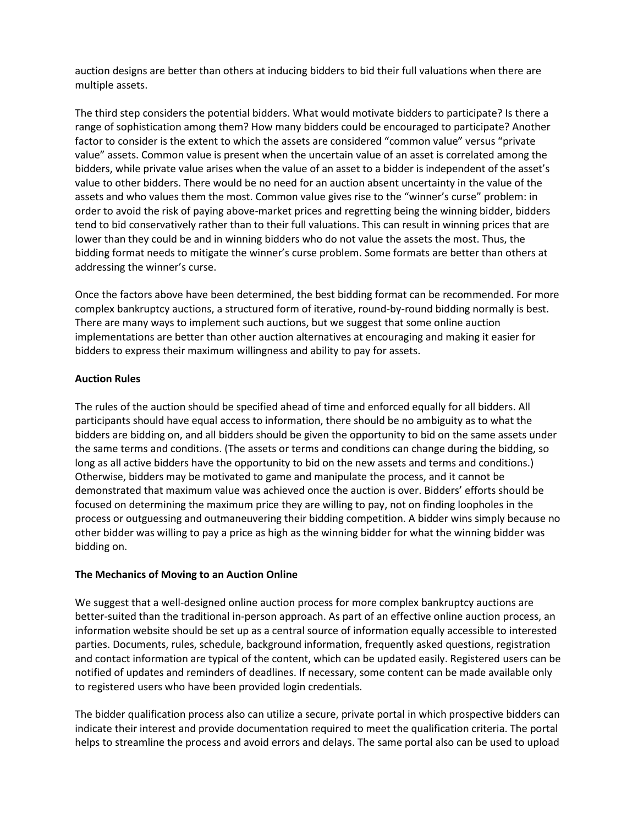auction designs are better than others at inducing bidders to bid their full valuations when there are multiple assets.

The third step considers the potential bidders. What would motivate bidders to participate? Is there a range of sophistication among them? How many bidders could be encouraged to participate? Another factor to consider is the extent to which the assets are considered "common value" versus "private value" assets. Common value is present when the uncertain value of an asset is correlated among the bidders, while private value arises when the value of an asset to a bidder is independent of the asset's value to other bidders. There would be no need for an auction absent uncertainty in the value of the assets and who values them the most. Common value gives rise to the "winner's curse" problem: in order to avoid the risk of paying above-market prices and regretting being the winning bidder, bidders tend to bid conservatively rather than to their full valuations. This can result in winning prices that are lower than they could be and in winning bidders who do not value the assets the most. Thus, the bidding format needs to mitigate the winner's curse problem. Some formats are better than others at addressing the winner's curse.

Once the factors above have been determined, the best bidding format can be recommended. For more complex bankruptcy auctions, a structured form of iterative, round-by-round bidding normally is best. There are many ways to implement such auctions, but we suggest that some online auction implementations are better than other auction alternatives at encouraging and making it easier for bidders to express their maximum willingness and ability to pay for assets.

## **Auction Rules**

The rules of the auction should be specified ahead of time and enforced equally for all bidders. All participants should have equal access to information, there should be no ambiguity as to what the bidders are bidding on, and all bidders should be given the opportunity to bid on the same assets under the same terms and conditions. (The assets or terms and conditions can change during the bidding, so long as all active bidders have the opportunity to bid on the new assets and terms and conditions.) Otherwise, bidders may be motivated to game and manipulate the process, and it cannot be demonstrated that maximum value was achieved once the auction is over. Bidders' efforts should be focused on determining the maximum price they are willing to pay, not on finding loopholes in the process or outguessing and outmaneuvering their bidding competition. A bidder wins simply because no other bidder was willing to pay a price as high as the winning bidder for what the winning bidder was bidding on.

## **The Mechanics of Moving to an Auction Online**

We suggest that a well-designed online auction process for more complex bankruptcy auctions are better-suited than the traditional in-person approach. As part of an effective online auction process, an information website should be set up as a central source of information equally accessible to interested parties. Documents, rules, schedule, background information, frequently asked questions, registration and contact information are typical of the content, which can be updated easily. Registered users can be notified of updates and reminders of deadlines. If necessary, some content can be made available only to registered users who have been provided login credentials.

The bidder qualification process also can utilize a secure, private portal in which prospective bidders can indicate their interest and provide documentation required to meet the qualification criteria. The portal helps to streamline the process and avoid errors and delays. The same portal also can be used to upload